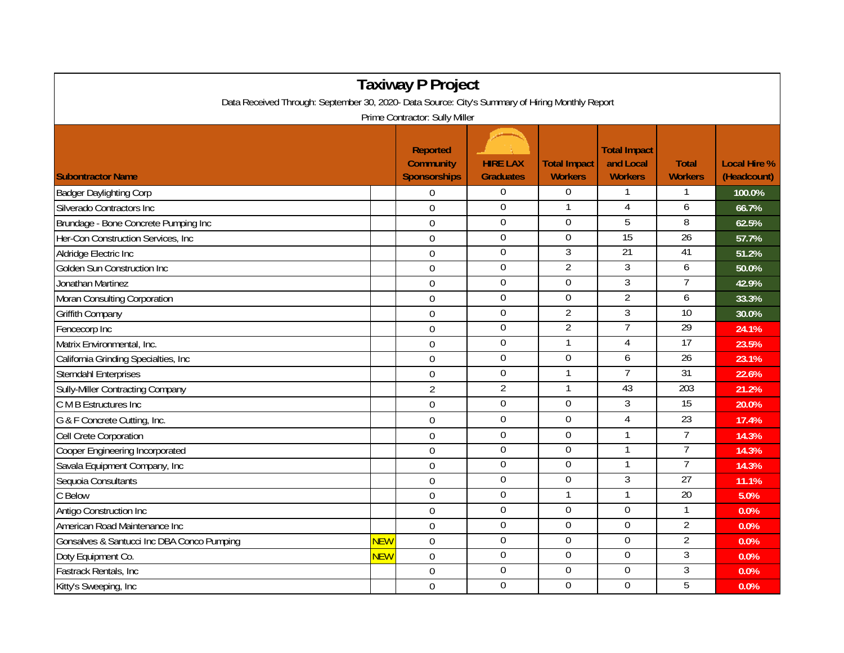| <b>Taxiway P Project</b><br>Data Received Through: September 30, 2020- Data Source: City's Summary of Hiring Monthly Report |            |                                                            |                                     |                                       |                                                    |                                |                                    |  |  |  |  |  |
|-----------------------------------------------------------------------------------------------------------------------------|------------|------------------------------------------------------------|-------------------------------------|---------------------------------------|----------------------------------------------------|--------------------------------|------------------------------------|--|--|--|--|--|
| Prime Contractor: Sully Miller                                                                                              |            |                                                            |                                     |                                       |                                                    |                                |                                    |  |  |  |  |  |
| <b>Subontractor Name</b>                                                                                                    |            | <b>Reported</b><br><b>Community</b><br><b>Sponsorships</b> | <b>HIRE LAX</b><br><b>Graduates</b> | <b>Total Impact</b><br><b>Workers</b> | <b>Total Impact</b><br>and Local<br><b>Workers</b> | <b>Total</b><br><b>Workers</b> | <b>Local Hire %</b><br>(Headcount) |  |  |  |  |  |
| <b>Badger Daylighting Corp</b>                                                                                              |            | $\overline{0}$                                             | 0                                   | $\overline{0}$                        |                                                    |                                | 100.0%                             |  |  |  |  |  |
| Silverado Contractors Inc                                                                                                   |            | $\mathbf 0$                                                | $\mathbf 0$                         |                                       | $\overline{4}$                                     | 6                              | 66.7%                              |  |  |  |  |  |
| Brundage - Bone Concrete Pumping Inc                                                                                        |            | $\mathbf 0$                                                | $\mathbf 0$                         | $\mathbf 0$                           | 5                                                  | 8                              | 62.5%                              |  |  |  |  |  |
| Her-Con Construction Services, Inc                                                                                          |            | $\overline{0}$                                             | $\overline{0}$                      | $\overline{0}$                        | 15                                                 | 26                             | 57.7%                              |  |  |  |  |  |
| Aldridge Electric Inc                                                                                                       |            | $\mathbf 0$                                                | $\boldsymbol{0}$                    | 3                                     | $\overline{21}$                                    | 41                             | 51.2%                              |  |  |  |  |  |
| Golden Sun Construction Inc                                                                                                 |            | $\mathbf 0$                                                | $\boldsymbol{0}$                    | $\overline{2}$                        | $\overline{3}$                                     | 6                              | 50.0%                              |  |  |  |  |  |
| Jonathan Martinez                                                                                                           |            | $\overline{0}$                                             | $\overline{0}$                      | $\mathbf 0$                           | $\overline{3}$                                     |                                | 42.9%                              |  |  |  |  |  |
| Moran Consulting Corporation                                                                                                |            | $\mathbf 0$                                                | $\boldsymbol{0}$                    | $\overline{0}$                        | $\overline{2}$                                     | 6                              | 33.3%                              |  |  |  |  |  |
| Griffith Company                                                                                                            |            | $\mathbf 0$                                                | $\boldsymbol{0}$                    | $\overline{2}$                        | 3                                                  | 10                             | 30.0%                              |  |  |  |  |  |
| Fencecorp Inc                                                                                                               |            | $\mathbf 0$                                                | $\boldsymbol{0}$                    | $\overline{2}$                        | $\overline{7}$                                     | 29                             | 24.1%                              |  |  |  |  |  |
| Matrix Environmental, Inc.                                                                                                  |            | $\overline{0}$                                             | $\mathbf 0$                         |                                       | $\overline{4}$                                     | 17                             | 23.5%                              |  |  |  |  |  |
| California Grinding Specialties, Inc                                                                                        |            | $\mathbf 0$                                                | $\Omega$                            | $\Omega$                              | 6                                                  | $\overline{26}$                | 23.1%                              |  |  |  |  |  |
| <b>Sterndahl Enterprises</b>                                                                                                |            | $\mathbf 0$                                                | $\boldsymbol{0}$                    |                                       | $\overline{7}$                                     | 31                             | 22.6%                              |  |  |  |  |  |
| <b>Sully-Miller Contracting Company</b>                                                                                     |            | $\overline{2}$                                             | $\overline{2}$                      |                                       | 43                                                 | 203                            | 21.2%                              |  |  |  |  |  |
| C M B Estructures Inc                                                                                                       |            | $\boldsymbol{0}$                                           | 0                                   | $\Omega$                              | $\overline{3}$                                     | 15                             | 20.0%                              |  |  |  |  |  |
| G & F Concrete Cutting, Inc.                                                                                                |            | $\overline{0}$                                             | $\boldsymbol{0}$                    | $\mathbf 0$                           | $\overline{4}$                                     | $\overline{23}$                | 17.4%                              |  |  |  |  |  |
| Cell Crete Corporation                                                                                                      |            | $\Omega$                                                   | $\mathbf 0$                         | $\overline{0}$                        | $\mathbf{1}$                                       | $\overline{7}$                 | 14.3%                              |  |  |  |  |  |
| Cooper Engineering Incorporated                                                                                             |            | $\mathbf 0$                                                | 0                                   | $\Omega$                              |                                                    | 7                              | 14.3%                              |  |  |  |  |  |
| Savala Equipment Company, Inc                                                                                               |            | $\mathbf 0$                                                | $\boldsymbol{0}$                    | $\boldsymbol{0}$                      | $\mathbf{1}$                                       | $\overline{7}$                 | 14.3%                              |  |  |  |  |  |
| Sequoia Consultants                                                                                                         |            | $\mathbf 0$                                                | $\boldsymbol{0}$                    | $\mathbf 0$                           | 3                                                  | 27                             | 11.1%                              |  |  |  |  |  |
| C Below                                                                                                                     |            | $\boldsymbol{0}$                                           | $\overline{0}$                      |                                       | 1                                                  | 20                             | 5.0%                               |  |  |  |  |  |
| Antigo Construction Inc                                                                                                     |            | $\mathbf 0$                                                | $\overline{0}$                      | $\overline{0}$                        | $\mathbf{0}$                                       |                                | 0.0%                               |  |  |  |  |  |
| American Road Maintenance Inc                                                                                               |            | $\overline{0}$                                             | $\boldsymbol{0}$                    | 0                                     | $\mathbf 0$                                        | $\overline{2}$                 | 0.0%                               |  |  |  |  |  |
| Gonsalves & Santucci Inc DBA Conco Pumping                                                                                  | <b>NEW</b> | $\overline{0}$                                             | $\mathbf 0$                         | $\overline{0}$                        | $\mathbf 0$                                        | $\overline{2}$                 | 0.0%                               |  |  |  |  |  |
| Doty Equipment Co.                                                                                                          | <b>NEW</b> | $\boldsymbol{0}$                                           | $\overline{0}$                      | $\overline{0}$                        | $\overline{0}$                                     | $\overline{3}$                 | 0.0%                               |  |  |  |  |  |
| Fastrack Rentals, Inc.                                                                                                      |            | $\mathbf 0$                                                | $\overline{0}$                      | $\overline{0}$                        | $\overline{0}$                                     | $\overline{3}$                 | 0.0%                               |  |  |  |  |  |
| Kitty's Sweeping, Inc                                                                                                       |            | $\overline{0}$                                             | $\mathbf 0$                         | $\mathbf 0$                           | $\mathbf{0}$                                       | 5                              | 0.0%                               |  |  |  |  |  |